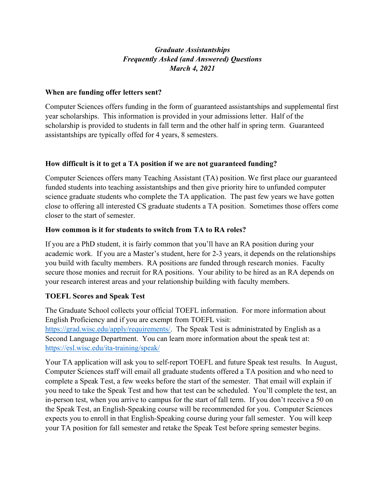# Graduate Assistantships Frequently Asked (and Answered) Questions March 4, 2021

### When are funding offer letters sent?

Computer Sciences offers funding in the form of guaranteed assistantships and supplemental first year scholarships. This information is provided in your admissions letter. Half of the scholarship is provided to students in fall term and the other half in spring term. Guaranteed assistantships are typically offed for 4 years, 8 semesters.

## How difficult is it to get a TA position if we are not guaranteed funding?

Computer Sciences offers many Teaching Assistant (TA) position. We first place our guaranteed funded students into teaching assistantships and then give priority hire to unfunded computer science graduate students who complete the TA application. The past few years we have gotten close to offering all interested CS graduate students a TA position. Sometimes those offers come closer to the start of semester.

## How common is it for students to switch from TA to RA roles?

If you are a PhD student, it is fairly common that you'll have an RA position during your academic work. If you are a Master's student, here for 2-3 years, it depends on the relationships you build with faculty members. RA positions are funded through research monies. Faculty secure those monies and recruit for RA positions. Your ability to be hired as an RA depends on your research interest areas and your relationship building with faculty members.

# TOEFL Scores and Speak Test

The Graduate School collects your official TOEFL information. For more information about English Proficiency and if you are exempt from TOEFL visit: https://grad.wisc.edu/apply/requirements/. The Speak Test is administrated by English as a Second Language Department. You can learn more information about the speak test at: https://esl.wisc.edu/ita-training/speak/

Your TA application will ask you to self-report TOEFL and future Speak test results. In August, Computer Sciences staff will email all graduate students offered a TA position and who need to complete a Speak Test, a few weeks before the start of the semester. That email will explain if you need to take the Speak Test and how that test can be scheduled. You'll complete the test, an in-person test, when you arrive to campus for the start of fall term. If you don't receive a 50 on the Speak Test, an English-Speaking course will be recommended for you. Computer Sciences expects you to enroll in that English-Speaking course during your fall semester. You will keep your TA position for fall semester and retake the Speak Test before spring semester begins.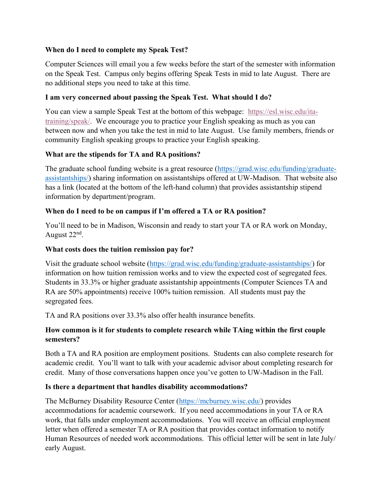### When do I need to complete my Speak Test?

Computer Sciences will email you a few weeks before the start of the semester with information on the Speak Test. Campus only begins offering Speak Tests in mid to late August. There are no additional steps you need to take at this time.

### I am very concerned about passing the Speak Test. What should I do?

You can view a sample Speak Test at the bottom of this webpage: https://esl.wisc.edu/itatraining/speak/. We encourage you to practice your English speaking as much as you can between now and when you take the test in mid to late August. Use family members, friends or community English speaking groups to practice your English speaking.

#### What are the stipends for TA and RA positions?

The graduate school funding website is a great resource (https://grad.wisc.edu/funding/graduateassistantships/) sharing information on assistantships offered at UW-Madison. That website also has a link (located at the bottom of the left-hand column) that provides assistantship stipend information by department/program.

#### When do I need to be on campus if I'm offered a TA or RA position?

You'll need to be in Madison, Wisconsin and ready to start your TA or RA work on Monday, August 22<sup>nd</sup>.

#### What costs does the tuition remission pay for?

Visit the graduate school website (https://grad.wisc.edu/funding/graduate-assistantships/) for information on how tuition remission works and to view the expected cost of segregated fees. Students in 33.3% or higher graduate assistantship appointments (Computer Sciences TA and RA are 50% appointments) receive 100% tuition remission. All students must pay the segregated fees.

TA and RA positions over 33.3% also offer health insurance benefits.

### How common is it for students to complete research while TAing within the first couple semesters?

Both a TA and RA position are employment positions. Students can also complete research for academic credit. You'll want to talk with your academic advisor about completing research for credit. Many of those conversations happen once you've gotten to UW-Madison in the Fall.

#### Is there a department that handles disability accommodations?

The McBurney Disability Resource Center (https://mcburney.wisc.edu/) provides accommodations for academic coursework. If you need accommodations in your TA or RA work, that falls under employment accommodations. You will receive an official employment letter when offered a semester TA or RA position that provides contact information to notify Human Resources of needed work accommodations. This official letter will be sent in late July/ early August.